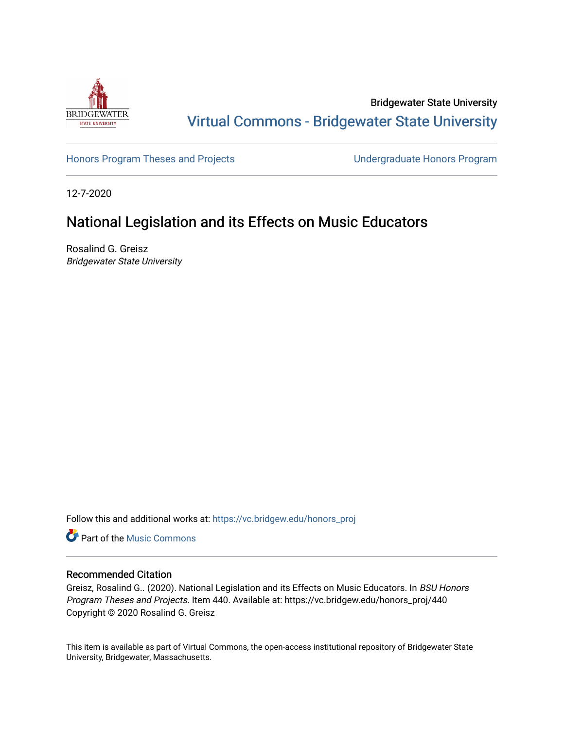

Bridgewater State University [Virtual Commons - Bridgewater State University](https://vc.bridgew.edu/) 

[Honors Program Theses and Projects](https://vc.bridgew.edu/honors_proj) [Undergraduate Honors Program](https://vc.bridgew.edu/honors) 

12-7-2020

# National Legislation and its Effects on Music Educators

Rosalind G. Greisz Bridgewater State University

Follow this and additional works at: [https://vc.bridgew.edu/honors\\_proj](https://vc.bridgew.edu/honors_proj?utm_source=vc.bridgew.edu%2Fhonors_proj%2F440&utm_medium=PDF&utm_campaign=PDFCoverPages)

**Part of the Music Commons** 

## Recommended Citation

Greisz, Rosalind G.. (2020). National Legislation and its Effects on Music Educators. In BSU Honors Program Theses and Projects. Item 440. Available at: https://vc.bridgew.edu/honors\_proj/440 Copyright © 2020 Rosalind G. Greisz

This item is available as part of Virtual Commons, the open-access institutional repository of Bridgewater State University, Bridgewater, Massachusetts.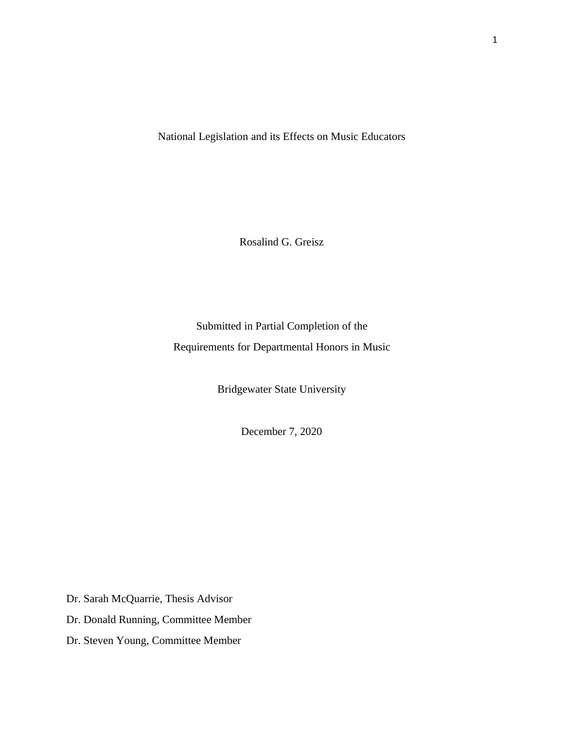National Legislation and its Effects on Music Educators

Rosalind G. Greisz

Submitted in Partial Completion of the Requirements for Departmental Honors in Music

Bridgewater State University

December 7, 2020

Dr. Sarah McQuarrie, Thesis Advisor

Dr. Donald Running, Committee Member

Dr. Steven Young, Committee Member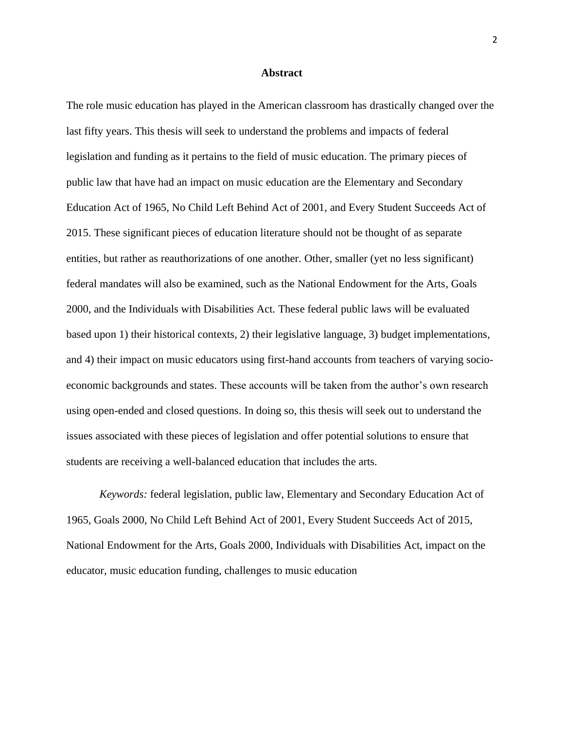#### **Abstract**

The role music education has played in the American classroom has drastically changed over the last fifty years. This thesis will seek to understand the problems and impacts of federal legislation and funding as it pertains to the field of music education. The primary pieces of public law that have had an impact on music education are the Elementary and Secondary Education Act of 1965, No Child Left Behind Act of 2001, and Every Student Succeeds Act of 2015. These significant pieces of education literature should not be thought of as separate entities, but rather as reauthorizations of one another. Other, smaller (yet no less significant) federal mandates will also be examined, such as the National Endowment for the Arts, Goals 2000, and the Individuals with Disabilities Act. These federal public laws will be evaluated based upon 1) their historical contexts, 2) their legislative language, 3) budget implementations, and 4) their impact on music educators using first-hand accounts from teachers of varying socioeconomic backgrounds and states. These accounts will be taken from the author's own research using open-ended and closed questions. In doing so, this thesis will seek out to understand the issues associated with these pieces of legislation and offer potential solutions to ensure that students are receiving a well-balanced education that includes the arts.

*Keywords:* federal legislation, public law, Elementary and Secondary Education Act of 1965, Goals 2000, No Child Left Behind Act of 2001, Every Student Succeeds Act of 2015, National Endowment for the Arts, Goals 2000, Individuals with Disabilities Act, impact on the educator, music education funding, challenges to music education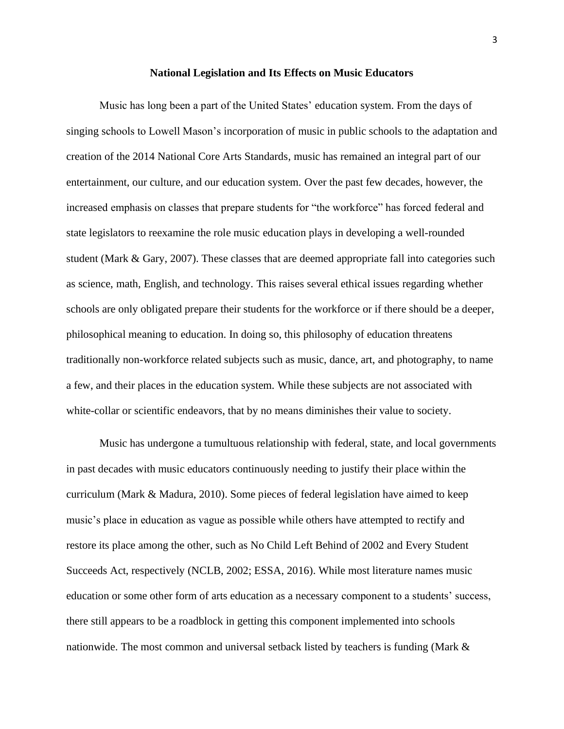#### **National Legislation and Its Effects on Music Educators**

Music has long been a part of the United States' education system. From the days of singing schools to Lowell Mason's incorporation of music in public schools to the adaptation and creation of the 2014 National Core Arts Standards, music has remained an integral part of our entertainment, our culture, and our education system. Over the past few decades, however, the increased emphasis on classes that prepare students for "the workforce" has forced federal and state legislators to reexamine the role music education plays in developing a well-rounded student (Mark & Gary, 2007). These classes that are deemed appropriate fall into categories such as science, math, English, and technology. This raises several ethical issues regarding whether schools are only obligated prepare their students for the workforce or if there should be a deeper, philosophical meaning to education. In doing so, this philosophy of education threatens traditionally non-workforce related subjects such as music, dance, art, and photography, to name a few, and their places in the education system. While these subjects are not associated with white-collar or scientific endeavors, that by no means diminishes their value to society.

Music has undergone a tumultuous relationship with federal, state, and local governments in past decades with music educators continuously needing to justify their place within the curriculum (Mark & Madura, 2010). Some pieces of federal legislation have aimed to keep music's place in education as vague as possible while others have attempted to rectify and restore its place among the other, such as No Child Left Behind of 2002 and Every Student Succeeds Act, respectively (NCLB, 2002; ESSA, 2016). While most literature names music education or some other form of arts education as a necessary component to a students' success, there still appears to be a roadblock in getting this component implemented into schools nationwide. The most common and universal setback listed by teachers is funding (Mark &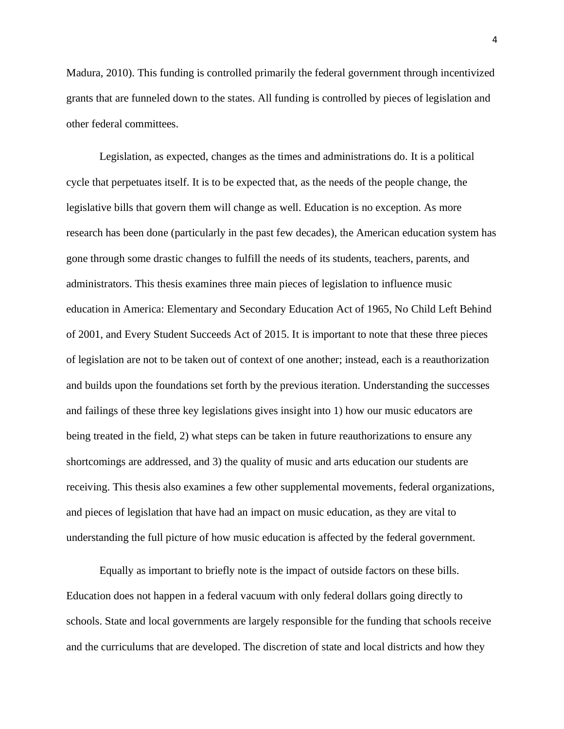Madura, 2010). This funding is controlled primarily the federal government through incentivized grants that are funneled down to the states. All funding is controlled by pieces of legislation and other federal committees.

Legislation, as expected, changes as the times and administrations do. It is a political cycle that perpetuates itself. It is to be expected that, as the needs of the people change, the legislative bills that govern them will change as well. Education is no exception. As more research has been done (particularly in the past few decades), the American education system has gone through some drastic changes to fulfill the needs of its students, teachers, parents, and administrators. This thesis examines three main pieces of legislation to influence music education in America: Elementary and Secondary Education Act of 1965, No Child Left Behind of 2001, and Every Student Succeeds Act of 2015. It is important to note that these three pieces of legislation are not to be taken out of context of one another; instead, each is a reauthorization and builds upon the foundations set forth by the previous iteration. Understanding the successes and failings of these three key legislations gives insight into 1) how our music educators are being treated in the field, 2) what steps can be taken in future reauthorizations to ensure any shortcomings are addressed, and 3) the quality of music and arts education our students are receiving. This thesis also examines a few other supplemental movements, federal organizations, and pieces of legislation that have had an impact on music education, as they are vital to understanding the full picture of how music education is affected by the federal government.

Equally as important to briefly note is the impact of outside factors on these bills. Education does not happen in a federal vacuum with only federal dollars going directly to schools. State and local governments are largely responsible for the funding that schools receive and the curriculums that are developed. The discretion of state and local districts and how they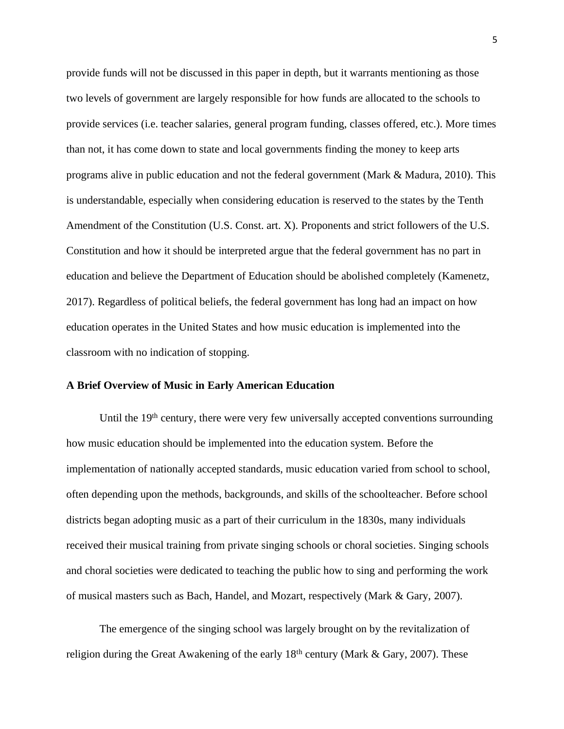provide funds will not be discussed in this paper in depth, but it warrants mentioning as those two levels of government are largely responsible for how funds are allocated to the schools to provide services (i.e. teacher salaries, general program funding, classes offered, etc.). More times than not, it has come down to state and local governments finding the money to keep arts programs alive in public education and not the federal government (Mark & Madura, 2010). This is understandable, especially when considering education is reserved to the states by the Tenth Amendment of the Constitution (U.S. Const. art. X). Proponents and strict followers of the U.S. Constitution and how it should be interpreted argue that the federal government has no part in education and believe the Department of Education should be abolished completely (Kamenetz, 2017). Regardless of political beliefs, the federal government has long had an impact on how education operates in the United States and how music education is implemented into the classroom with no indication of stopping.

#### **A Brief Overview of Music in Early American Education**

Until the 19<sup>th</sup> century, there were very few universally accepted conventions surrounding how music education should be implemented into the education system. Before the implementation of nationally accepted standards, music education varied from school to school, often depending upon the methods, backgrounds, and skills of the schoolteacher. Before school districts began adopting music as a part of their curriculum in the 1830s, many individuals received their musical training from private singing schools or choral societies. Singing schools and choral societies were dedicated to teaching the public how to sing and performing the work of musical masters such as Bach, Handel, and Mozart, respectively (Mark & Gary, 2007).

The emergence of the singing school was largely brought on by the revitalization of religion during the Great Awakening of the early  $18<sup>th</sup>$  century (Mark & Gary, 2007). These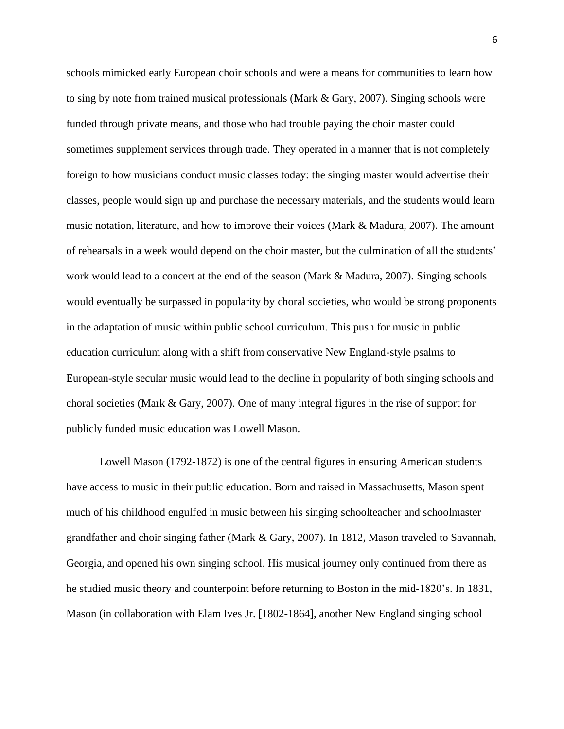schools mimicked early European choir schools and were a means for communities to learn how to sing by note from trained musical professionals (Mark & Gary, 2007). Singing schools were funded through private means, and those who had trouble paying the choir master could sometimes supplement services through trade. They operated in a manner that is not completely foreign to how musicians conduct music classes today: the singing master would advertise their classes, people would sign up and purchase the necessary materials, and the students would learn music notation, literature, and how to improve their voices (Mark & Madura, 2007). The amount of rehearsals in a week would depend on the choir master, but the culmination of all the students' work would lead to a concert at the end of the season (Mark & Madura, 2007). Singing schools would eventually be surpassed in popularity by choral societies, who would be strong proponents in the adaptation of music within public school curriculum. This push for music in public education curriculum along with a shift from conservative New England-style psalms to European-style secular music would lead to the decline in popularity of both singing schools and choral societies (Mark & Gary, 2007). One of many integral figures in the rise of support for publicly funded music education was Lowell Mason.

Lowell Mason (1792-1872) is one of the central figures in ensuring American students have access to music in their public education. Born and raised in Massachusetts, Mason spent much of his childhood engulfed in music between his singing schoolteacher and schoolmaster grandfather and choir singing father (Mark & Gary, 2007). In 1812, Mason traveled to Savannah, Georgia, and opened his own singing school. His musical journey only continued from there as he studied music theory and counterpoint before returning to Boston in the mid-1820's. In 1831, Mason (in collaboration with Elam Ives Jr. [1802-1864], another New England singing school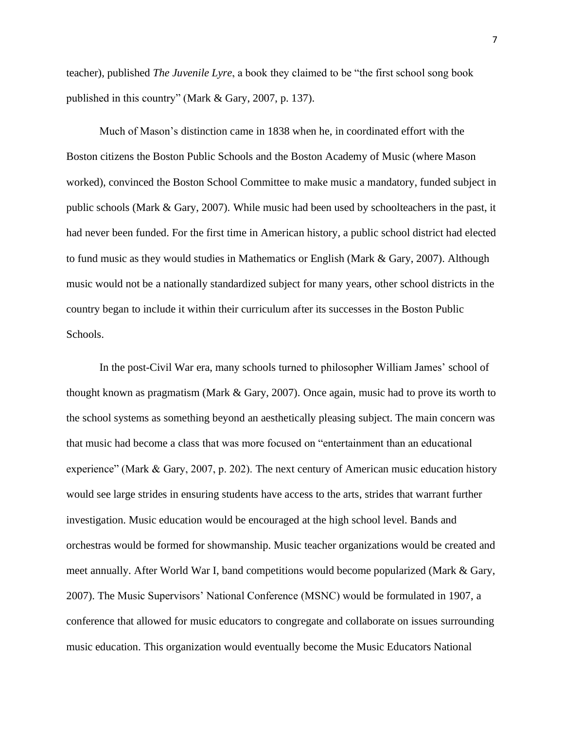teacher), published *The Juvenile Lyre*, a book they claimed to be "the first school song book published in this country" (Mark & Gary, 2007, p. 137).

Much of Mason's distinction came in 1838 when he, in coordinated effort with the Boston citizens the Boston Public Schools and the Boston Academy of Music (where Mason worked), convinced the Boston School Committee to make music a mandatory, funded subject in public schools (Mark & Gary, 2007). While music had been used by schoolteachers in the past, it had never been funded. For the first time in American history, a public school district had elected to fund music as they would studies in Mathematics or English (Mark & Gary, 2007). Although music would not be a nationally standardized subject for many years, other school districts in the country began to include it within their curriculum after its successes in the Boston Public Schools.

In the post-Civil War era, many schools turned to philosopher William James' school of thought known as pragmatism (Mark & Gary, 2007). Once again, music had to prove its worth to the school systems as something beyond an aesthetically pleasing subject. The main concern was that music had become a class that was more focused on "entertainment than an educational experience" (Mark & Gary, 2007, p. 202). The next century of American music education history would see large strides in ensuring students have access to the arts, strides that warrant further investigation. Music education would be encouraged at the high school level. Bands and orchestras would be formed for showmanship. Music teacher organizations would be created and meet annually. After World War I, band competitions would become popularized (Mark & Gary, 2007). The Music Supervisors' National Conference (MSNC) would be formulated in 1907, a conference that allowed for music educators to congregate and collaborate on issues surrounding music education. This organization would eventually become the Music Educators National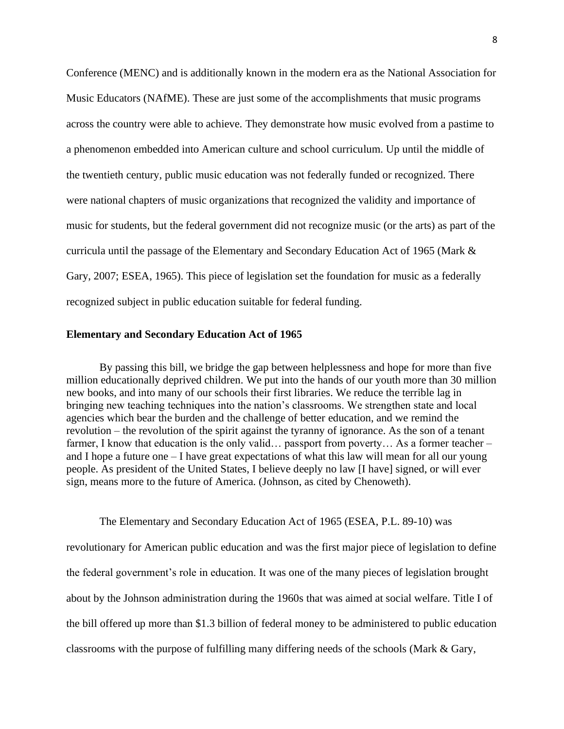Conference (MENC) and is additionally known in the modern era as the National Association for Music Educators (NAfME). These are just some of the accomplishments that music programs across the country were able to achieve. They demonstrate how music evolved from a pastime to a phenomenon embedded into American culture and school curriculum. Up until the middle of the twentieth century, public music education was not federally funded or recognized. There were national chapters of music organizations that recognized the validity and importance of music for students, but the federal government did not recognize music (or the arts) as part of the curricula until the passage of the Elementary and Secondary Education Act of 1965 (Mark & Gary, 2007; ESEA, 1965). This piece of legislation set the foundation for music as a federally recognized subject in public education suitable for federal funding.

#### **Elementary and Secondary Education Act of 1965**

By passing this bill, we bridge the gap between helplessness and hope for more than five million educationally deprived children. We put into the hands of our youth more than 30 million new books, and into many of our schools their first libraries. We reduce the terrible lag in bringing new teaching techniques into the nation's classrooms. We strengthen state and local agencies which bear the burden and the challenge of better education, and we remind the revolution – the revolution of the spirit against the tyranny of ignorance. As the son of a tenant farmer, I know that education is the only valid... passport from poverty... As a former teacher – and I hope a future one – I have great expectations of what this law will mean for all our young people. As president of the United States, I believe deeply no law [I have] signed, or will ever sign, means more to the future of America. (Johnson, as cited by Chenoweth).

revolutionary for American public education and was the first major piece of legislation to define the federal government's role in education. It was one of the many pieces of legislation brought about by the Johnson administration during the 1960s that was aimed at social welfare. Title I of the bill offered up more than \$1.3 billion of federal money to be administered to public education classrooms with the purpose of fulfilling many differing needs of the schools (Mark & Gary,

The Elementary and Secondary Education Act of 1965 (ESEA, P.L. 89-10) was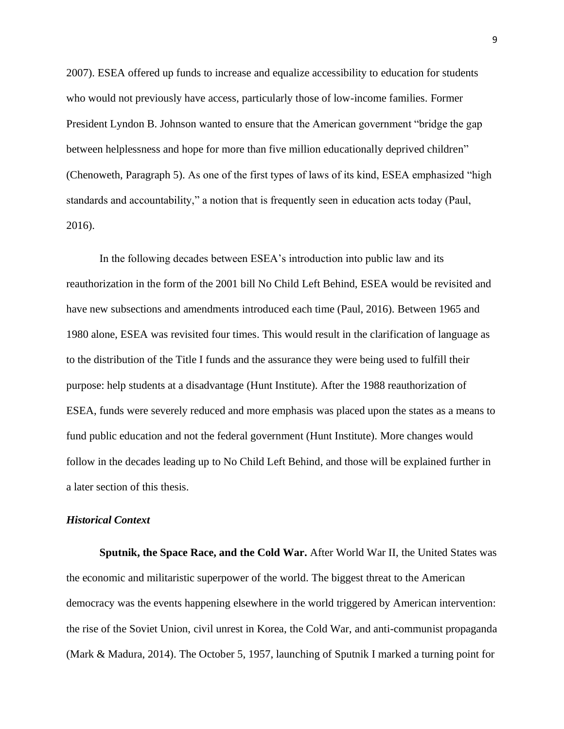2007). ESEA offered up funds to increase and equalize accessibility to education for students who would not previously have access, particularly those of low-income families. Former President Lyndon B. Johnson wanted to ensure that the American government "bridge the gap between helplessness and hope for more than five million educationally deprived children" (Chenoweth, Paragraph 5). As one of the first types of laws of its kind, ESEA emphasized "high standards and accountability," a notion that is frequently seen in education acts today (Paul, 2016).

In the following decades between ESEA's introduction into public law and its reauthorization in the form of the 2001 bill No Child Left Behind, ESEA would be revisited and have new subsections and amendments introduced each time (Paul, 2016). Between 1965 and 1980 alone, ESEA was revisited four times. This would result in the clarification of language as to the distribution of the Title I funds and the assurance they were being used to fulfill their purpose: help students at a disadvantage (Hunt Institute). After the 1988 reauthorization of ESEA, funds were severely reduced and more emphasis was placed upon the states as a means to fund public education and not the federal government (Hunt Institute). More changes would follow in the decades leading up to No Child Left Behind, and those will be explained further in a later section of this thesis.

#### *Historical Context*

**Sputnik, the Space Race, and the Cold War.** After World War II, the United States was the economic and militaristic superpower of the world. The biggest threat to the American democracy was the events happening elsewhere in the world triggered by American intervention: the rise of the Soviet Union, civil unrest in Korea, the Cold War, and anti-communist propaganda (Mark & Madura, 2014). The October 5, 1957, launching of Sputnik I marked a turning point for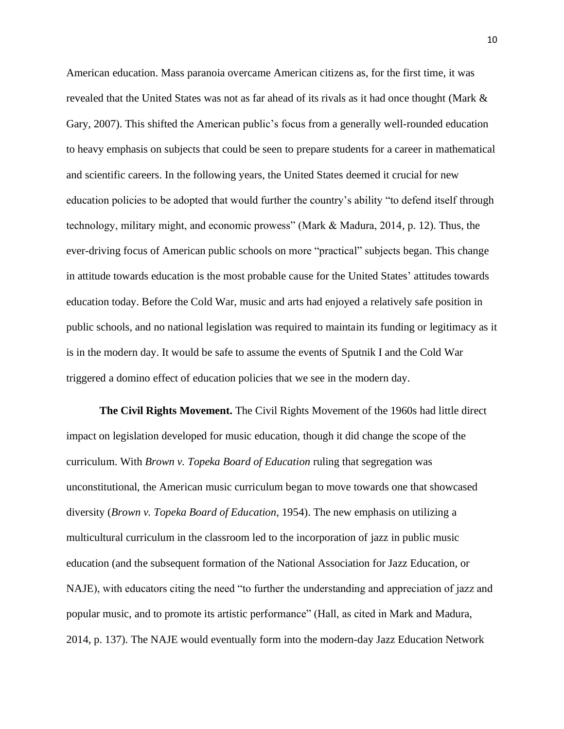American education. Mass paranoia overcame American citizens as, for the first time, it was revealed that the United States was not as far ahead of its rivals as it had once thought (Mark & Gary, 2007). This shifted the American public's focus from a generally well-rounded education to heavy emphasis on subjects that could be seen to prepare students for a career in mathematical and scientific careers. In the following years, the United States deemed it crucial for new education policies to be adopted that would further the country's ability "to defend itself through technology, military might, and economic prowess" (Mark & Madura, 2014, p. 12). Thus, the ever-driving focus of American public schools on more "practical" subjects began. This change in attitude towards education is the most probable cause for the United States' attitudes towards education today. Before the Cold War, music and arts had enjoyed a relatively safe position in public schools, and no national legislation was required to maintain its funding or legitimacy as it is in the modern day. It would be safe to assume the events of Sputnik I and the Cold War triggered a domino effect of education policies that we see in the modern day.

**The Civil Rights Movement.** The Civil Rights Movement of the 1960s had little direct impact on legislation developed for music education, though it did change the scope of the curriculum. With *Brown v. Topeka Board of Education* ruling that segregation was unconstitutional, the American music curriculum began to move towards one that showcased diversity (*Brown v. Topeka Board of Education*, 1954). The new emphasis on utilizing a multicultural curriculum in the classroom led to the incorporation of jazz in public music education (and the subsequent formation of the National Association for Jazz Education, or NAJE), with educators citing the need "to further the understanding and appreciation of jazz and popular music, and to promote its artistic performance" (Hall, as cited in Mark and Madura, 2014, p. 137). The NAJE would eventually form into the modern-day Jazz Education Network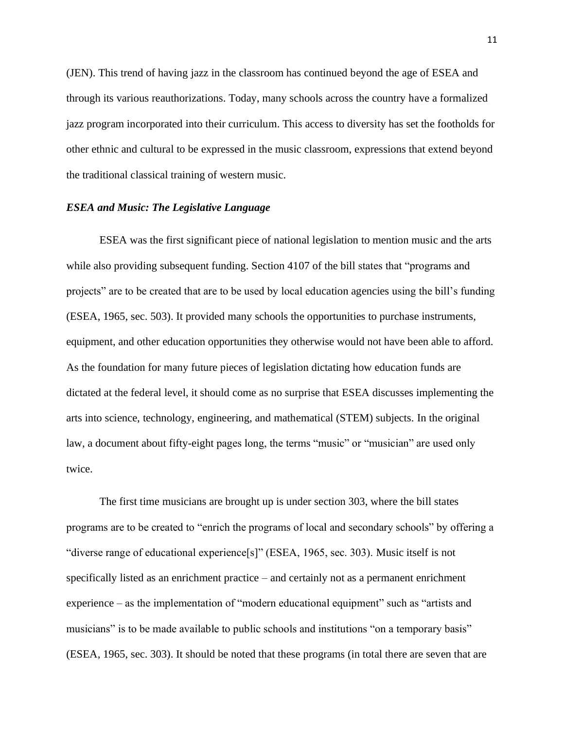(JEN). This trend of having jazz in the classroom has continued beyond the age of ESEA and through its various reauthorizations. Today, many schools across the country have a formalized jazz program incorporated into their curriculum. This access to diversity has set the footholds for other ethnic and cultural to be expressed in the music classroom, expressions that extend beyond the traditional classical training of western music.

#### *ESEA and Music: The Legislative Language*

ESEA was the first significant piece of national legislation to mention music and the arts while also providing subsequent funding. Section 4107 of the bill states that "programs and projects" are to be created that are to be used by local education agencies using the bill's funding (ESEA, 1965, sec. 503). It provided many schools the opportunities to purchase instruments, equipment, and other education opportunities they otherwise would not have been able to afford. As the foundation for many future pieces of legislation dictating how education funds are dictated at the federal level, it should come as no surprise that ESEA discusses implementing the arts into science, technology, engineering, and mathematical (STEM) subjects. In the original law, a document about fifty-eight pages long, the terms "music" or "musician" are used only twice.

The first time musicians are brought up is under section 303, where the bill states programs are to be created to "enrich the programs of local and secondary schools" by offering a "diverse range of educational experience[s]" (ESEA, 1965, sec. 303). Music itself is not specifically listed as an enrichment practice – and certainly not as a permanent enrichment experience – as the implementation of "modern educational equipment" such as "artists and musicians" is to be made available to public schools and institutions "on a temporary basis" (ESEA, 1965, sec. 303). It should be noted that these programs (in total there are seven that are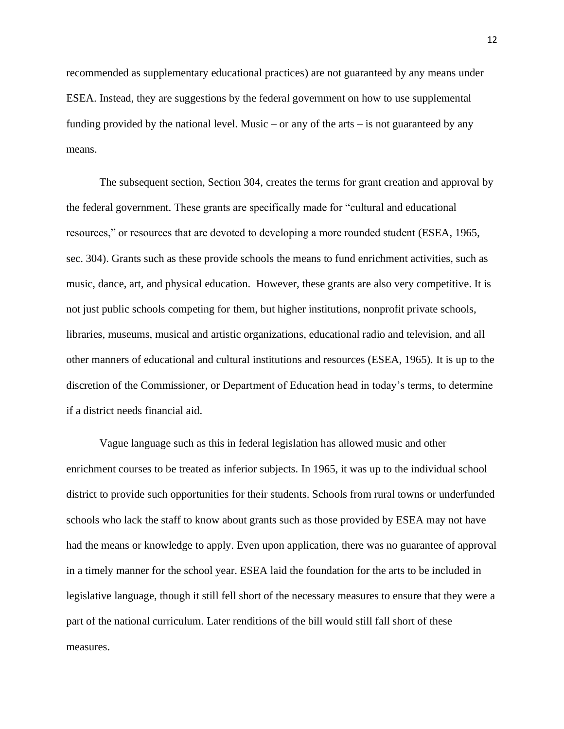recommended as supplementary educational practices) are not guaranteed by any means under ESEA. Instead, they are suggestions by the federal government on how to use supplemental funding provided by the national level. Music – or any of the arts – is not guaranteed by any means.

The subsequent section, Section 304, creates the terms for grant creation and approval by the federal government. These grants are specifically made for "cultural and educational resources," or resources that are devoted to developing a more rounded student (ESEA, 1965, sec. 304). Grants such as these provide schools the means to fund enrichment activities, such as music, dance, art, and physical education. However, these grants are also very competitive. It is not just public schools competing for them, but higher institutions, nonprofit private schools, libraries, museums, musical and artistic organizations, educational radio and television, and all other manners of educational and cultural institutions and resources (ESEA, 1965). It is up to the discretion of the Commissioner, or Department of Education head in today's terms, to determine if a district needs financial aid.

Vague language such as this in federal legislation has allowed music and other enrichment courses to be treated as inferior subjects. In 1965, it was up to the individual school district to provide such opportunities for their students. Schools from rural towns or underfunded schools who lack the staff to know about grants such as those provided by ESEA may not have had the means or knowledge to apply. Even upon application, there was no guarantee of approval in a timely manner for the school year. ESEA laid the foundation for the arts to be included in legislative language, though it still fell short of the necessary measures to ensure that they were a part of the national curriculum. Later renditions of the bill would still fall short of these measures.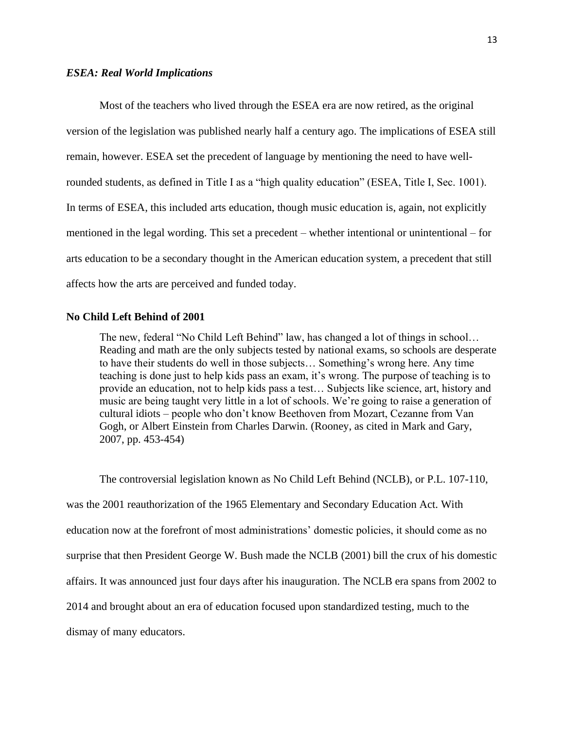#### *ESEA: Real World Implications*

Most of the teachers who lived through the ESEA era are now retired, as the original version of the legislation was published nearly half a century ago. The implications of ESEA still remain, however. ESEA set the precedent of language by mentioning the need to have wellrounded students, as defined in Title I as a "high quality education" (ESEA, Title I, Sec. 1001). In terms of ESEA, this included arts education, though music education is, again, not explicitly mentioned in the legal wording. This set a precedent – whether intentional or unintentional – for arts education to be a secondary thought in the American education system, a precedent that still affects how the arts are perceived and funded today.

#### **No Child Left Behind of 2001**

The new, federal "No Child Left Behind" law, has changed a lot of things in school... Reading and math are the only subjects tested by national exams, so schools are desperate to have their students do well in those subjects… Something's wrong here. Any time teaching is done just to help kids pass an exam, it's wrong. The purpose of teaching is to provide an education, not to help kids pass a test… Subjects like science, art, history and music are being taught very little in a lot of schools. We're going to raise a generation of cultural idiots – people who don't know Beethoven from Mozart, Cezanne from Van Gogh, or Albert Einstein from Charles Darwin. (Rooney, as cited in Mark and Gary, 2007, pp. 453-454)

The controversial legislation known as No Child Left Behind (NCLB), or P.L. 107-110, was the 2001 reauthorization of the 1965 Elementary and Secondary Education Act. With education now at the forefront of most administrations' domestic policies, it should come as no surprise that then President George W. Bush made the NCLB (2001) bill the crux of his domestic affairs. It was announced just four days after his inauguration. The NCLB era spans from 2002 to 2014 and brought about an era of education focused upon standardized testing, much to the dismay of many educators.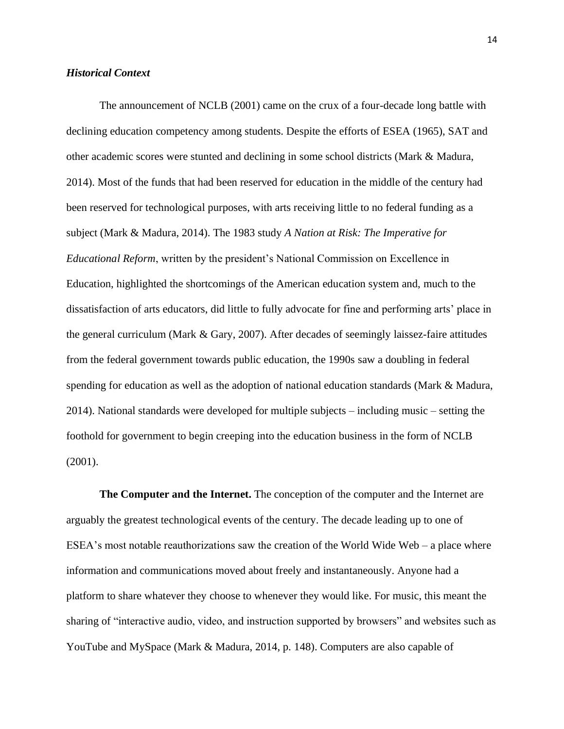#### *Historical Context*

The announcement of NCLB (2001) came on the crux of a four-decade long battle with declining education competency among students. Despite the efforts of ESEA (1965), SAT and other academic scores were stunted and declining in some school districts (Mark & Madura, 2014). Most of the funds that had been reserved for education in the middle of the century had been reserved for technological purposes, with arts receiving little to no federal funding as a subject (Mark & Madura, 2014). The 1983 study *A Nation at Risk: The Imperative for Educational Reform*, written by the president's National Commission on Excellence in Education, highlighted the shortcomings of the American education system and, much to the dissatisfaction of arts educators, did little to fully advocate for fine and performing arts' place in the general curriculum (Mark & Gary, 2007). After decades of seemingly laissez-faire attitudes from the federal government towards public education, the 1990s saw a doubling in federal spending for education as well as the adoption of national education standards (Mark & Madura, 2014). National standards were developed for multiple subjects – including music – setting the foothold for government to begin creeping into the education business in the form of NCLB (2001).

**The Computer and the Internet.** The conception of the computer and the Internet are arguably the greatest technological events of the century. The decade leading up to one of ESEA's most notable reauthorizations saw the creation of the World Wide Web – a place where information and communications moved about freely and instantaneously. Anyone had a platform to share whatever they choose to whenever they would like. For music, this meant the sharing of "interactive audio, video, and instruction supported by browsers" and websites such as YouTube and MySpace (Mark & Madura, 2014, p. 148). Computers are also capable of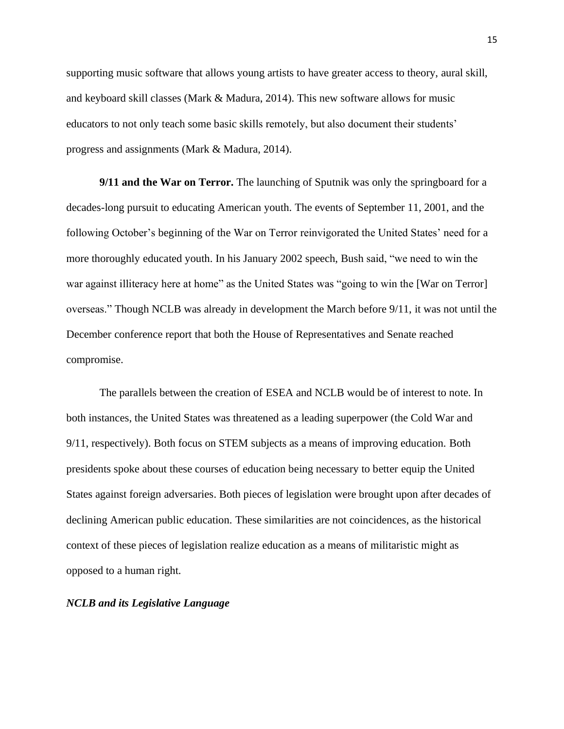supporting music software that allows young artists to have greater access to theory, aural skill, and keyboard skill classes (Mark & Madura, 2014). This new software allows for music educators to not only teach some basic skills remotely, but also document their students' progress and assignments (Mark & Madura, 2014).

**9/11 and the War on Terror.** The launching of Sputnik was only the springboard for a decades-long pursuit to educating American youth. The events of September 11, 2001, and the following October's beginning of the War on Terror reinvigorated the United States' need for a more thoroughly educated youth. In his January 2002 speech, Bush said, "we need to win the war against illiteracy here at home" as the United States was "going to win the [War on Terror] overseas." Though NCLB was already in development the March before 9/11, it was not until the December conference report that both the House of Representatives and Senate reached compromise.

The parallels between the creation of ESEA and NCLB would be of interest to note. In both instances, the United States was threatened as a leading superpower (the Cold War and 9/11, respectively). Both focus on STEM subjects as a means of improving education. Both presidents spoke about these courses of education being necessary to better equip the United States against foreign adversaries. Both pieces of legislation were brought upon after decades of declining American public education. These similarities are not coincidences, as the historical context of these pieces of legislation realize education as a means of militaristic might as opposed to a human right.

#### *NCLB and its Legislative Language*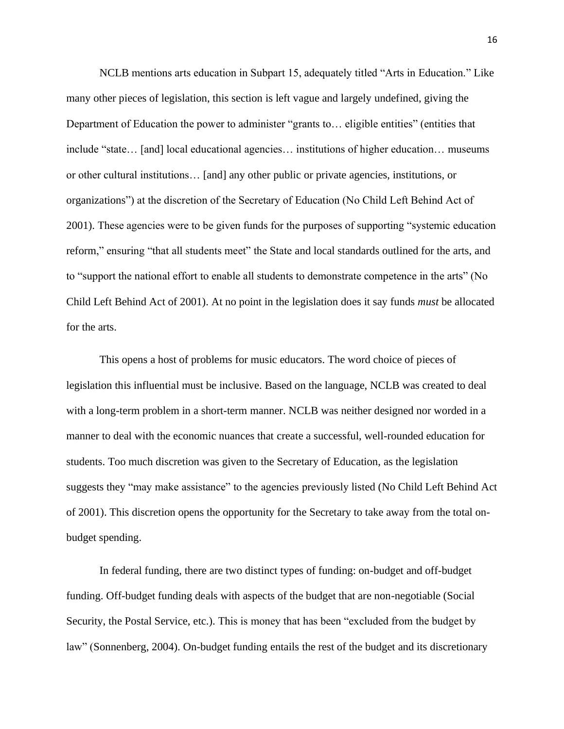NCLB mentions arts education in Subpart 15, adequately titled "Arts in Education." Like many other pieces of legislation, this section is left vague and largely undefined, giving the Department of Education the power to administer "grants to… eligible entities" (entities that include "state… [and] local educational agencies… institutions of higher education… museums or other cultural institutions… [and] any other public or private agencies, institutions, or organizations") at the discretion of the Secretary of Education (No Child Left Behind Act of 2001). These agencies were to be given funds for the purposes of supporting "systemic education reform," ensuring "that all students meet" the State and local standards outlined for the arts, and to "support the national effort to enable all students to demonstrate competence in the arts" (No Child Left Behind Act of 2001). At no point in the legislation does it say funds *must* be allocated for the arts.

This opens a host of problems for music educators. The word choice of pieces of legislation this influential must be inclusive. Based on the language, NCLB was created to deal with a long-term problem in a short-term manner. NCLB was neither designed nor worded in a manner to deal with the economic nuances that create a successful, well-rounded education for students. Too much discretion was given to the Secretary of Education, as the legislation suggests they "may make assistance" to the agencies previously listed (No Child Left Behind Act of 2001). This discretion opens the opportunity for the Secretary to take away from the total onbudget spending.

In federal funding, there are two distinct types of funding: on-budget and off-budget funding. Off-budget funding deals with aspects of the budget that are non-negotiable (Social Security, the Postal Service, etc.). This is money that has been "excluded from the budget by law" (Sonnenberg, 2004). On-budget funding entails the rest of the budget and its discretionary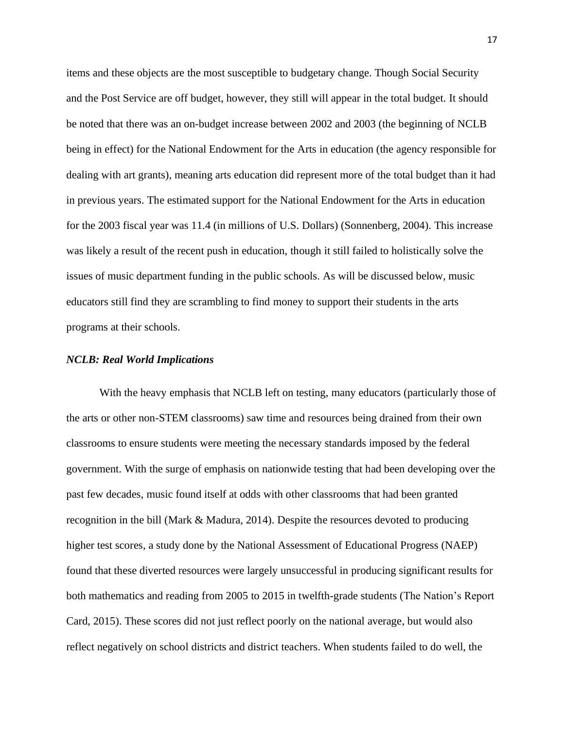items and these objects are the most susceptible to budgetary change. Though Social Security and the Post Service are off budget, however, they still will appear in the total budget. It should be noted that there was an on-budget increase between 2002 and 2003 (the beginning of NCLB being in effect) for the National Endowment for the Arts in education (the agency responsible for dealing with art grants), meaning arts education did represent more of the total budget than it had in previous years. The estimated support for the National Endowment for the Arts in education for the 2003 fiscal year was 11.4 (in millions of U.S. Dollars) (Sonnenberg, 2004). This increase was likely a result of the recent push in education, though it still failed to holistically solve the issues of music department funding in the public schools. As will be discussed below, music educators still find they are scrambling to find money to support their students in the arts programs at their schools.

#### *NCLB: Real World Implications*

With the heavy emphasis that NCLB left on testing, many educators (particularly those of the arts or other non-STEM classrooms) saw time and resources being drained from their own classrooms to ensure students were meeting the necessary standards imposed by the federal government. With the surge of emphasis on nationwide testing that had been developing over the past few decades, music found itself at odds with other classrooms that had been granted recognition in the bill (Mark & Madura, 2014). Despite the resources devoted to producing higher test scores, a study done by the National Assessment of Educational Progress (NAEP) found that these diverted resources were largely unsuccessful in producing significant results for both mathematics and reading from 2005 to 2015 in twelfth-grade students (The Nation's Report Card, 2015). These scores did not just reflect poorly on the national average, but would also reflect negatively on school districts and district teachers. When students failed to do well, the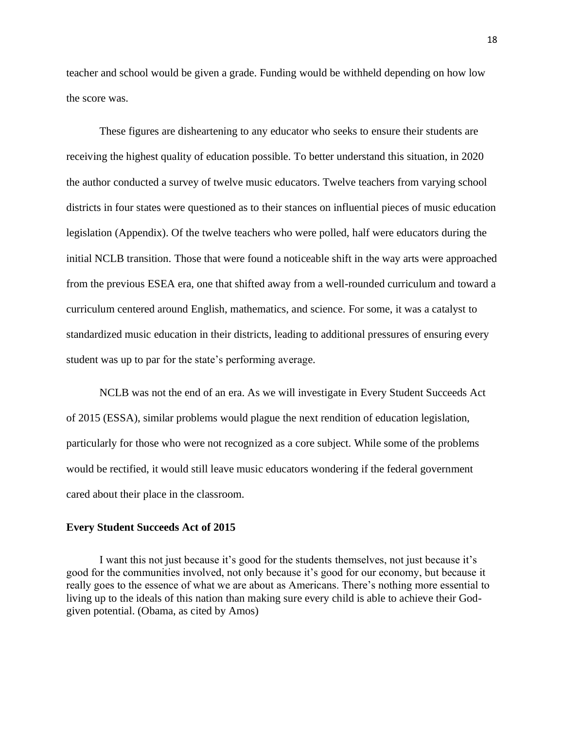teacher and school would be given a grade. Funding would be withheld depending on how low the score was.

These figures are disheartening to any educator who seeks to ensure their students are receiving the highest quality of education possible. To better understand this situation, in 2020 the author conducted a survey of twelve music educators. Twelve teachers from varying school districts in four states were questioned as to their stances on influential pieces of music education legislation (Appendix). Of the twelve teachers who were polled, half were educators during the initial NCLB transition. Those that were found a noticeable shift in the way arts were approached from the previous ESEA era, one that shifted away from a well-rounded curriculum and toward a curriculum centered around English, mathematics, and science. For some, it was a catalyst to standardized music education in their districts, leading to additional pressures of ensuring every student was up to par for the state's performing average.

NCLB was not the end of an era. As we will investigate in Every Student Succeeds Act of 2015 (ESSA), similar problems would plague the next rendition of education legislation, particularly for those who were not recognized as a core subject. While some of the problems would be rectified, it would still leave music educators wondering if the federal government cared about their place in the classroom.

#### **Every Student Succeeds Act of 2015**

I want this not just because it's good for the students themselves, not just because it's good for the communities involved, not only because it's good for our economy, but because it really goes to the essence of what we are about as Americans. There's nothing more essential to living up to the ideals of this nation than making sure every child is able to achieve their Godgiven potential. (Obama, as cited by Amos)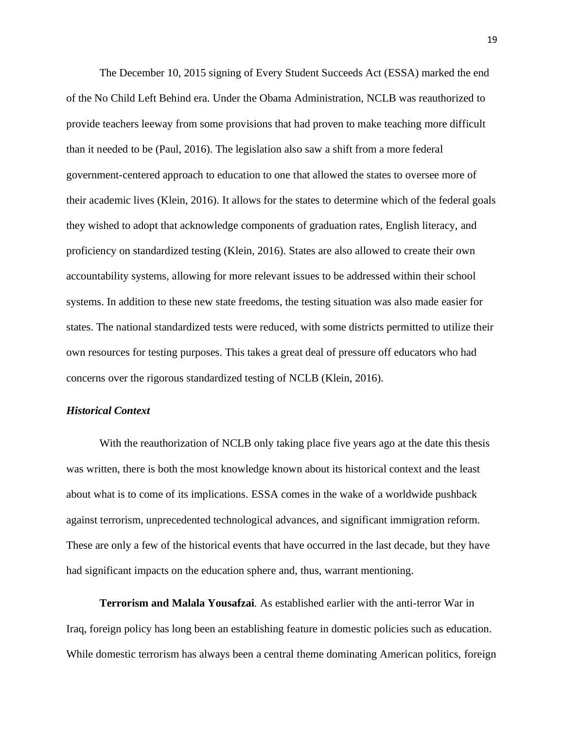The December 10, 2015 signing of Every Student Succeeds Act (ESSA) marked the end of the No Child Left Behind era. Under the Obama Administration, NCLB was reauthorized to provide teachers leeway from some provisions that had proven to make teaching more difficult than it needed to be (Paul, 2016). The legislation also saw a shift from a more federal government-centered approach to education to one that allowed the states to oversee more of their academic lives (Klein, 2016). It allows for the states to determine which of the federal goals they wished to adopt that acknowledge components of graduation rates, English literacy, and proficiency on standardized testing (Klein, 2016). States are also allowed to create their own accountability systems, allowing for more relevant issues to be addressed within their school systems. In addition to these new state freedoms, the testing situation was also made easier for states. The national standardized tests were reduced, with some districts permitted to utilize their own resources for testing purposes. This takes a great deal of pressure off educators who had concerns over the rigorous standardized testing of NCLB (Klein, 2016).

#### *Historical Context*

With the reauthorization of NCLB only taking place five years ago at the date this thesis was written, there is both the most knowledge known about its historical context and the least about what is to come of its implications. ESSA comes in the wake of a worldwide pushback against terrorism, unprecedented technological advances, and significant immigration reform. These are only a few of the historical events that have occurred in the last decade, but they have had significant impacts on the education sphere and, thus, warrant mentioning.

**Terrorism and Malala Yousafzai***.* As established earlier with the anti-terror War in Iraq, foreign policy has long been an establishing feature in domestic policies such as education. While domestic terrorism has always been a central theme dominating American politics, foreign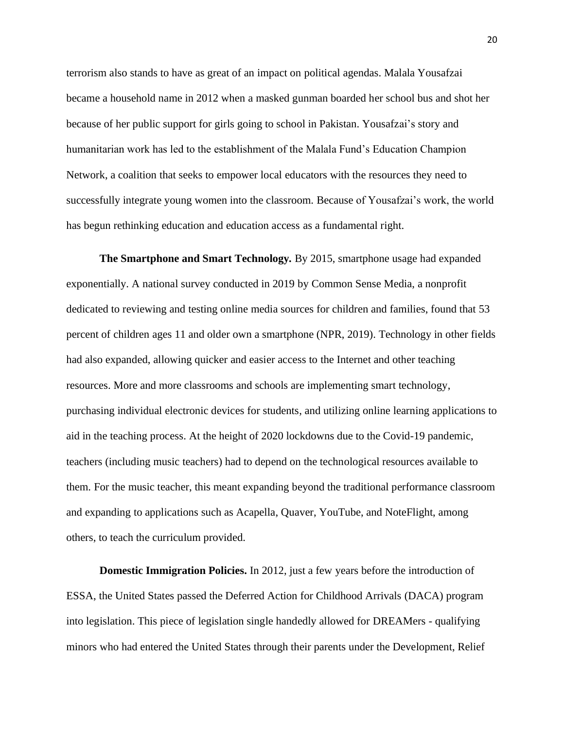terrorism also stands to have as great of an impact on political agendas. Malala Yousafzai became a household name in 2012 when a masked gunman boarded her school bus and shot her because of her public support for girls going to school in Pakistan. Yousafzai's story and humanitarian work has led to the establishment of the Malala Fund's Education Champion Network, a coalition that seeks to empower local educators with the resources they need to successfully integrate young women into the classroom. Because of Yousafzai's work, the world has begun rethinking education and education access as a fundamental right.

**The Smartphone and Smart Technology***.* By 2015, smartphone usage had expanded exponentially. A national survey conducted in 2019 by Common Sense Media, a nonprofit dedicated to reviewing and testing online media sources for children and families, found that 53 percent of children ages 11 and older own a smartphone (NPR, 2019). Technology in other fields had also expanded, allowing quicker and easier access to the Internet and other teaching resources. More and more classrooms and schools are implementing smart technology, purchasing individual electronic devices for students, and utilizing online learning applications to aid in the teaching process. At the height of 2020 lockdowns due to the Covid-19 pandemic, teachers (including music teachers) had to depend on the technological resources available to them. For the music teacher, this meant expanding beyond the traditional performance classroom and expanding to applications such as Acapella, Quaver, YouTube, and NoteFlight, among others, to teach the curriculum provided.

**Domestic Immigration Policies.** In 2012, just a few years before the introduction of ESSA, the United States passed the Deferred Action for Childhood Arrivals (DACA) program into legislation. This piece of legislation single handedly allowed for DREAMers - qualifying minors who had entered the United States through their parents under the Development, Relief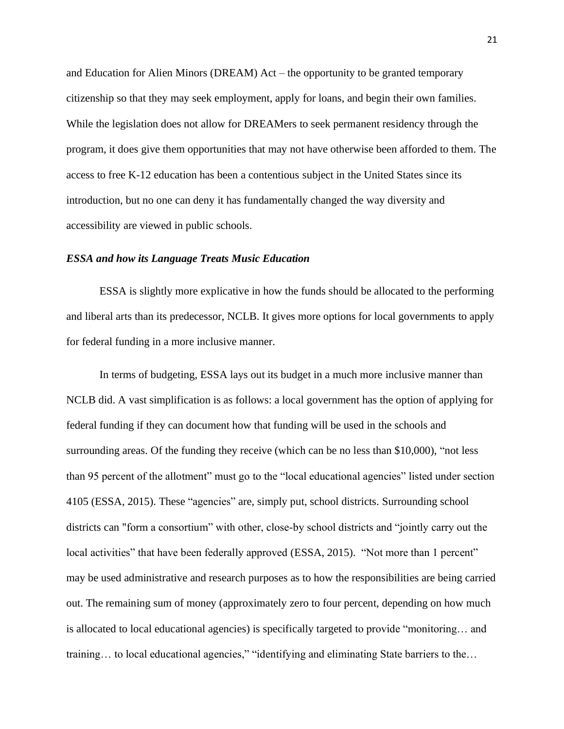and Education for Alien Minors (DREAM) Act – the opportunity to be granted temporary citizenship so that they may seek employment, apply for loans, and begin their own families. While the legislation does not allow for DREAMers to seek permanent residency through the program, it does give them opportunities that may not have otherwise been afforded to them. The access to free K-12 education has been a contentious subject in the United States since its introduction, but no one can deny it has fundamentally changed the way diversity and accessibility are viewed in public schools.

#### *ESSA and how its Language Treats Music Education*

ESSA is slightly more explicative in how the funds should be allocated to the performing and liberal arts than its predecessor, NCLB. It gives more options for local governments to apply for federal funding in a more inclusive manner.

In terms of budgeting, ESSA lays out its budget in a much more inclusive manner than NCLB did. A vast simplification is as follows: a local government has the option of applying for federal funding if they can document how that funding will be used in the schools and surrounding areas. Of the funding they receive (which can be no less than \$10,000), "not less than 95 percent of the allotment" must go to the "local educational agencies" listed under section 4105 (ESSA, 2015). These "agencies" are, simply put, school districts. Surrounding school districts can "form a consortium" with other, close-by school districts and "jointly carry out the local activities" that have been federally approved (ESSA, 2015). "Not more than 1 percent" may be used administrative and research purposes as to how the responsibilities are being carried out. The remaining sum of money (approximately zero to four percent, depending on how much is allocated to local educational agencies) is specifically targeted to provide "monitoring… and training… to local educational agencies," "identifying and eliminating State barriers to the…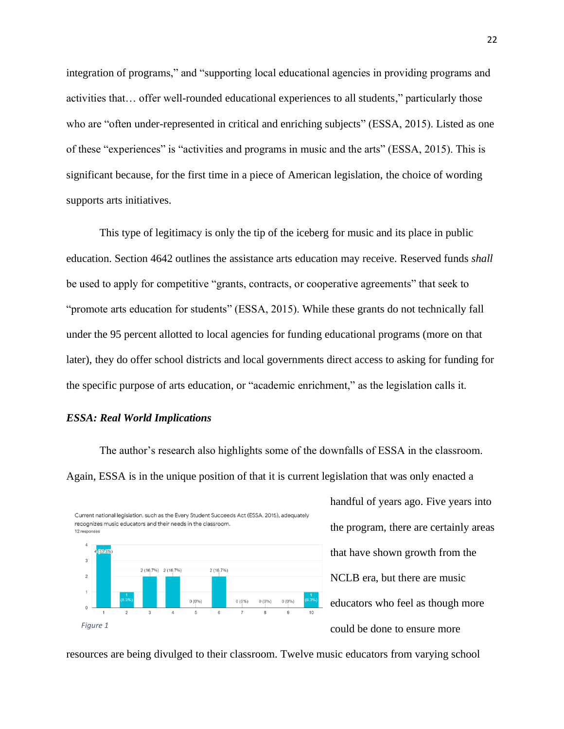integration of programs," and "supporting local educational agencies in providing programs and activities that… offer well-rounded educational experiences to all students," particularly those who are "often under-represented in critical and enriching subjects" (ESSA, 2015). Listed as one of these "experiences" is "activities and programs in music and the arts" (ESSA, 2015). This is significant because, for the first time in a piece of American legislation, the choice of wording supports arts initiatives.

This type of legitimacy is only the tip of the iceberg for music and its place in public education. Section 4642 outlines the assistance arts education may receive. Reserved funds *shall* be used to apply for competitive "grants, contracts, or cooperative agreements" that seek to "promote arts education for students" (ESSA, 2015). While these grants do not technically fall under the 95 percent allotted to local agencies for funding educational programs (more on that later), they do offer school districts and local governments direct access to asking for funding for the specific purpose of arts education, or "academic enrichment," as the legislation calls it.

## *ESSA: Real World Implications*

The author's research also highlights some of the downfalls of ESSA in the classroom. Again, ESSA is in the unique position of that it is current legislation that was only enacted a



handful of years ago. Five years into the program, there are certainly areas that have shown growth from the NCLB era, but there are music educators who feel as though more could be done to ensure more

resources are being divulged to their classroom. Twelve music educators from varying school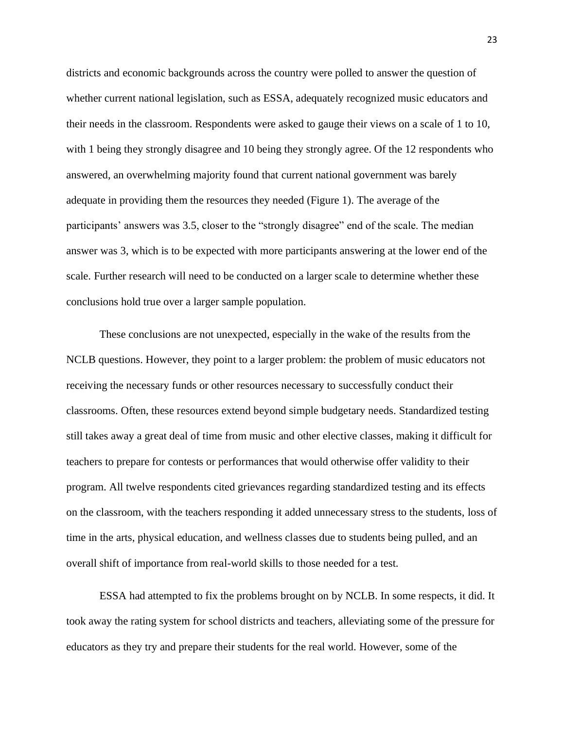districts and economic backgrounds across the country were polled to answer the question of whether current national legislation, such as ESSA, adequately recognized music educators and their needs in the classroom. Respondents were asked to gauge their views on a scale of 1 to 10, with 1 being they strongly disagree and 10 being they strongly agree. Of the 12 respondents who answered, an overwhelming majority found that current national government was barely adequate in providing them the resources they needed (Figure 1). The average of the participants' answers was 3.5, closer to the "strongly disagree" end of the scale. The median answer was 3, which is to be expected with more participants answering at the lower end of the scale. Further research will need to be conducted on a larger scale to determine whether these conclusions hold true over a larger sample population.

These conclusions are not unexpected, especially in the wake of the results from the NCLB questions. However, they point to a larger problem: the problem of music educators not receiving the necessary funds or other resources necessary to successfully conduct their classrooms. Often, these resources extend beyond simple budgetary needs. Standardized testing still takes away a great deal of time from music and other elective classes, making it difficult for teachers to prepare for contests or performances that would otherwise offer validity to their program. All twelve respondents cited grievances regarding standardized testing and its effects on the classroom, with the teachers responding it added unnecessary stress to the students, loss of time in the arts, physical education, and wellness classes due to students being pulled, and an overall shift of importance from real-world skills to those needed for a test.

ESSA had attempted to fix the problems brought on by NCLB. In some respects, it did. It took away the rating system for school districts and teachers, alleviating some of the pressure for educators as they try and prepare their students for the real world. However, some of the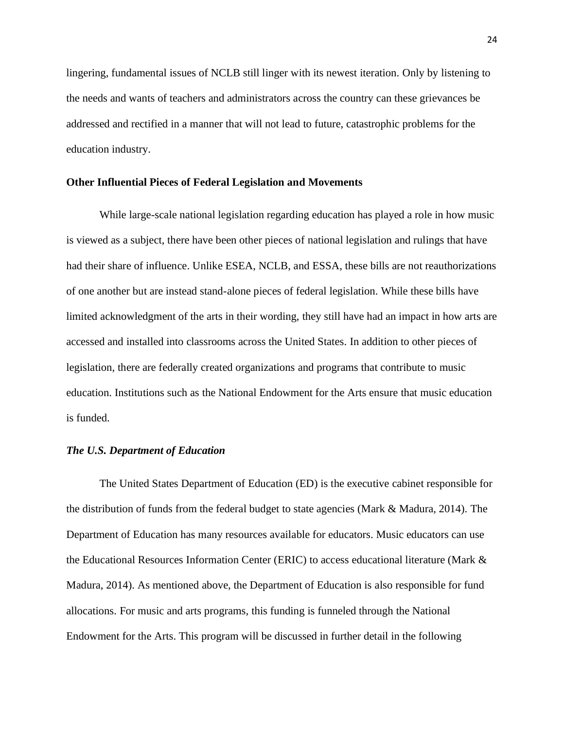lingering, fundamental issues of NCLB still linger with its newest iteration. Only by listening to the needs and wants of teachers and administrators across the country can these grievances be addressed and rectified in a manner that will not lead to future, catastrophic problems for the education industry.

#### **Other Influential Pieces of Federal Legislation and Movements**

While large-scale national legislation regarding education has played a role in how music is viewed as a subject, there have been other pieces of national legislation and rulings that have had their share of influence. Unlike ESEA, NCLB, and ESSA, these bills are not reauthorizations of one another but are instead stand-alone pieces of federal legislation. While these bills have limited acknowledgment of the arts in their wording, they still have had an impact in how arts are accessed and installed into classrooms across the United States. In addition to other pieces of legislation, there are federally created organizations and programs that contribute to music education. Institutions such as the National Endowment for the Arts ensure that music education is funded.

#### *The U.S. Department of Education*

The United States Department of Education (ED) is the executive cabinet responsible for the distribution of funds from the federal budget to state agencies (Mark & Madura, 2014). The Department of Education has many resources available for educators. Music educators can use the Educational Resources Information Center (ERIC) to access educational literature (Mark & Madura, 2014). As mentioned above, the Department of Education is also responsible for fund allocations. For music and arts programs, this funding is funneled through the National Endowment for the Arts. This program will be discussed in further detail in the following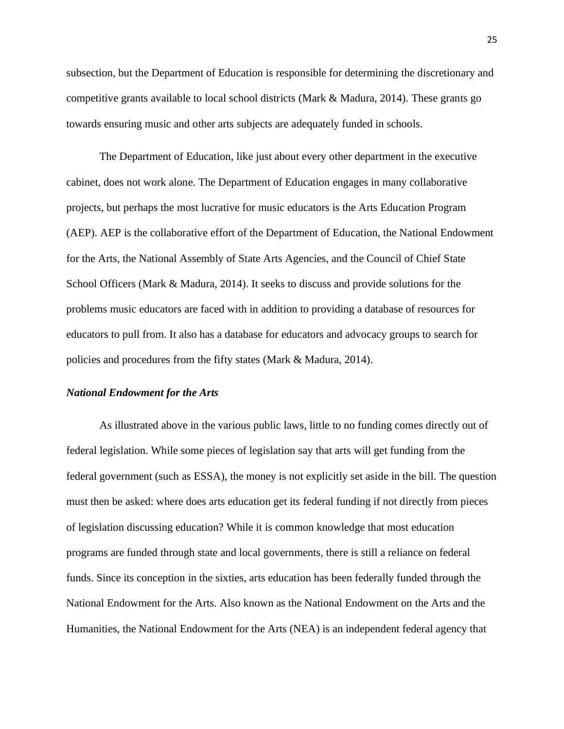subsection, but the Department of Education is responsible for determining the discretionary and competitive grants available to local school districts (Mark & Madura, 2014). These grants go towards ensuring music and other arts subjects are adequately funded in schools.

The Department of Education, like just about every other department in the executive cabinet, does not work alone. The Department of Education engages in many collaborative projects, but perhaps the most lucrative for music educators is the Arts Education Program (AEP). AEP is the collaborative effort of the Department of Education, the National Endowment for the Arts, the National Assembly of State Arts Agencies, and the Council of Chief State School Officers (Mark & Madura, 2014). It seeks to discuss and provide solutions for the problems music educators are faced with in addition to providing a database of resources for educators to pull from. It also has a database for educators and advocacy groups to search for policies and procedures from the fifty states (Mark & Madura, 2014).

#### *National Endowment for the Arts*

As illustrated above in the various public laws, little to no funding comes directly out of federal legislation. While some pieces of legislation say that arts will get funding from the federal government (such as ESSA), the money is not explicitly set aside in the bill. The question must then be asked: where does arts education get its federal funding if not directly from pieces of legislation discussing education? While it is common knowledge that most education programs are funded through state and local governments, there is still a reliance on federal funds. Since its conception in the sixties, arts education has been federally funded through the National Endowment for the Arts. Also known as the National Endowment on the Arts and the Humanities, the National Endowment for the Arts (NEA) is an independent federal agency that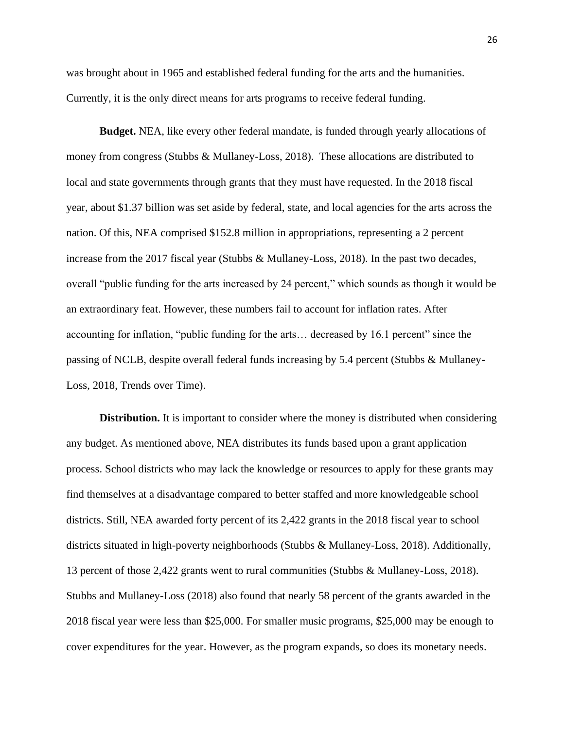was brought about in 1965 and established federal funding for the arts and the humanities. Currently, it is the only direct means for arts programs to receive federal funding.

**Budget.** NEA, like every other federal mandate, is funded through yearly allocations of money from congress (Stubbs & Mullaney-Loss, 2018). These allocations are distributed to local and state governments through grants that they must have requested. In the 2018 fiscal year, about \$1.37 billion was set aside by federal, state, and local agencies for the arts across the nation. Of this, NEA comprised \$152.8 million in appropriations, representing a 2 percent increase from the 2017 fiscal year (Stubbs & Mullaney-Loss, 2018). In the past two decades, overall "public funding for the arts increased by 24 percent," which sounds as though it would be an extraordinary feat. However, these numbers fail to account for inflation rates. After accounting for inflation, "public funding for the arts… decreased by 16.1 percent" since the passing of NCLB, despite overall federal funds increasing by 5.4 percent (Stubbs & Mullaney-Loss, 2018, Trends over Time).

**Distribution.** It is important to consider where the money is distributed when considering any budget. As mentioned above, NEA distributes its funds based upon a grant application process. School districts who may lack the knowledge or resources to apply for these grants may find themselves at a disadvantage compared to better staffed and more knowledgeable school districts. Still, NEA awarded forty percent of its 2,422 grants in the 2018 fiscal year to school districts situated in high-poverty neighborhoods (Stubbs & Mullaney-Loss, 2018). Additionally, 13 percent of those 2,422 grants went to rural communities (Stubbs & Mullaney-Loss, 2018). Stubbs and Mullaney-Loss (2018) also found that nearly 58 percent of the grants awarded in the 2018 fiscal year were less than \$25,000. For smaller music programs, \$25,000 may be enough to cover expenditures for the year. However, as the program expands, so does its monetary needs.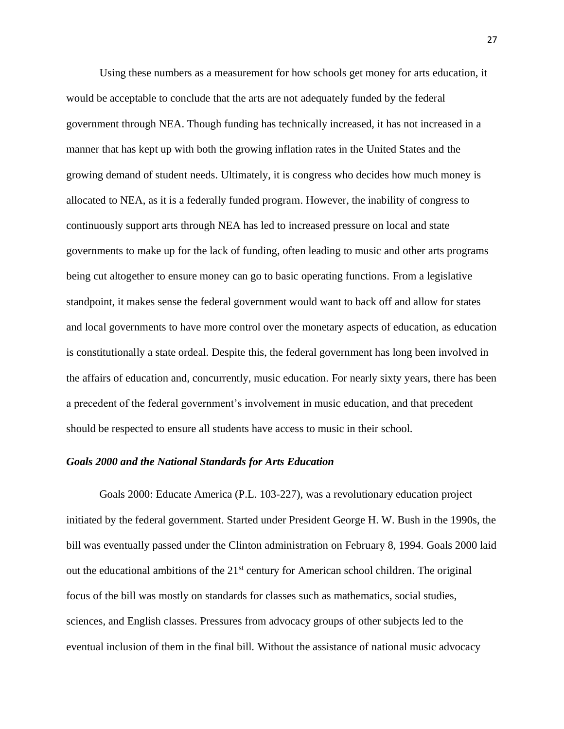Using these numbers as a measurement for how schools get money for arts education, it would be acceptable to conclude that the arts are not adequately funded by the federal government through NEA. Though funding has technically increased, it has not increased in a manner that has kept up with both the growing inflation rates in the United States and the growing demand of student needs. Ultimately, it is congress who decides how much money is allocated to NEA, as it is a federally funded program. However, the inability of congress to continuously support arts through NEA has led to increased pressure on local and state governments to make up for the lack of funding, often leading to music and other arts programs being cut altogether to ensure money can go to basic operating functions. From a legislative standpoint, it makes sense the federal government would want to back off and allow for states and local governments to have more control over the monetary aspects of education, as education is constitutionally a state ordeal. Despite this, the federal government has long been involved in the affairs of education and, concurrently, music education. For nearly sixty years, there has been a precedent of the federal government's involvement in music education, and that precedent should be respected to ensure all students have access to music in their school.

#### *Goals 2000 and the National Standards for Arts Education*

Goals 2000: Educate America (P.L. 103-227), was a revolutionary education project initiated by the federal government. Started under President George H. W. Bush in the 1990s, the bill was eventually passed under the Clinton administration on February 8, 1994. Goals 2000 laid out the educational ambitions of the 21<sup>st</sup> century for American school children. The original focus of the bill was mostly on standards for classes such as mathematics, social studies, sciences, and English classes. Pressures from advocacy groups of other subjects led to the eventual inclusion of them in the final bill. Without the assistance of national music advocacy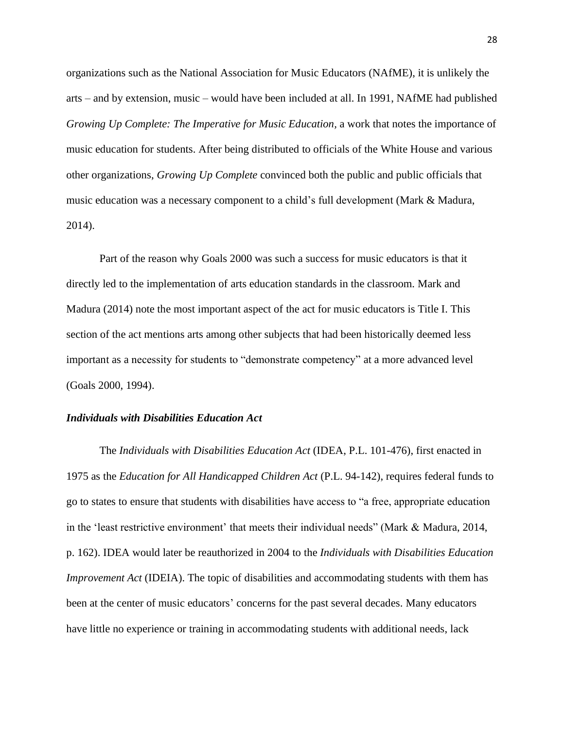organizations such as the National Association for Music Educators (NAfME), it is unlikely the arts – and by extension, music – would have been included at all. In 1991, NAfME had published *Growing Up Complete: The Imperative for Music Education, a work that notes the importance of* music education for students. After being distributed to officials of the White House and various other organizations, *Growing Up Complete* convinced both the public and public officials that music education was a necessary component to a child's full development (Mark & Madura, 2014).

Part of the reason why Goals 2000 was such a success for music educators is that it directly led to the implementation of arts education standards in the classroom. Mark and Madura (2014) note the most important aspect of the act for music educators is Title I. This section of the act mentions arts among other subjects that had been historically deemed less important as a necessity for students to "demonstrate competency" at a more advanced level (Goals 2000, 1994).

#### *Individuals with Disabilities Education Act*

The *Individuals with Disabilities Education Act* (IDEA, P.L. 101-476), first enacted in 1975 as the *Education for All Handicapped Children Act* (P.L. 94-142), requires federal funds to go to states to ensure that students with disabilities have access to "a free, appropriate education in the 'least restrictive environment' that meets their individual needs" (Mark & Madura, 2014, p. 162). IDEA would later be reauthorized in 2004 to the *Individuals with Disabilities Education Improvement Act* (IDEIA). The topic of disabilities and accommodating students with them has been at the center of music educators' concerns for the past several decades. Many educators have little no experience or training in accommodating students with additional needs, lack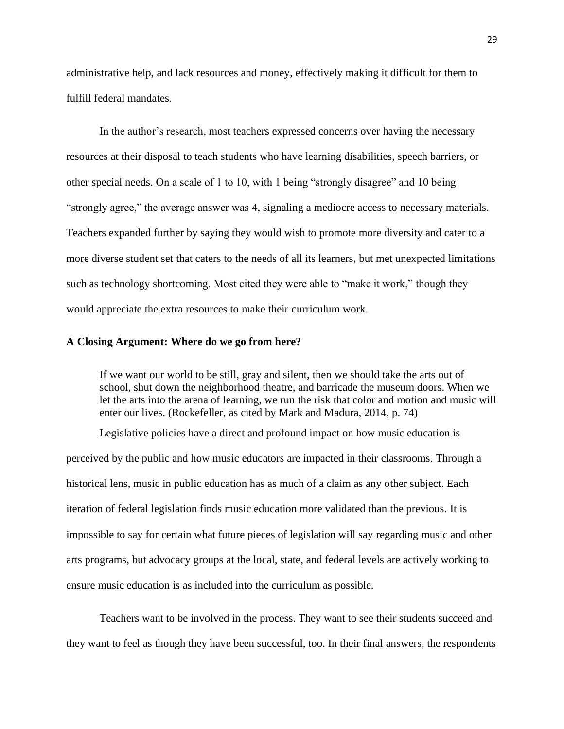administrative help, and lack resources and money, effectively making it difficult for them to fulfill federal mandates.

In the author's research, most teachers expressed concerns over having the necessary resources at their disposal to teach students who have learning disabilities, speech barriers, or other special needs. On a scale of 1 to 10, with 1 being "strongly disagree" and 10 being "strongly agree," the average answer was 4, signaling a mediocre access to necessary materials. Teachers expanded further by saying they would wish to promote more diversity and cater to a more diverse student set that caters to the needs of all its learners, but met unexpected limitations such as technology shortcoming. Most cited they were able to "make it work," though they would appreciate the extra resources to make their curriculum work.

#### **A Closing Argument: Where do we go from here?**

If we want our world to be still, gray and silent, then we should take the arts out of school, shut down the neighborhood theatre, and barricade the museum doors. When we let the arts into the arena of learning, we run the risk that color and motion and music will enter our lives. (Rockefeller, as cited by Mark and Madura, 2014, p. 74)

Legislative policies have a direct and profound impact on how music education is perceived by the public and how music educators are impacted in their classrooms. Through a historical lens, music in public education has as much of a claim as any other subject. Each iteration of federal legislation finds music education more validated than the previous. It is impossible to say for certain what future pieces of legislation will say regarding music and other arts programs, but advocacy groups at the local, state, and federal levels are actively working to ensure music education is as included into the curriculum as possible.

Teachers want to be involved in the process. They want to see their students succeed and they want to feel as though they have been successful, too. In their final answers, the respondents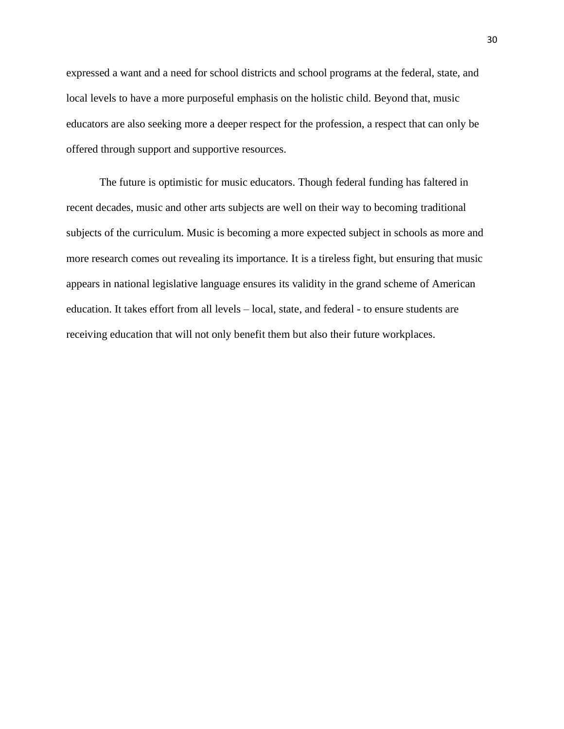expressed a want and a need for school districts and school programs at the federal, state, and local levels to have a more purposeful emphasis on the holistic child. Beyond that, music educators are also seeking more a deeper respect for the profession, a respect that can only be offered through support and supportive resources.

The future is optimistic for music educators. Though federal funding has faltered in recent decades, music and other arts subjects are well on their way to becoming traditional subjects of the curriculum. Music is becoming a more expected subject in schools as more and more research comes out revealing its importance. It is a tireless fight, but ensuring that music appears in national legislative language ensures its validity in the grand scheme of American education. It takes effort from all levels – local, state, and federal - to ensure students are receiving education that will not only benefit them but also their future workplaces.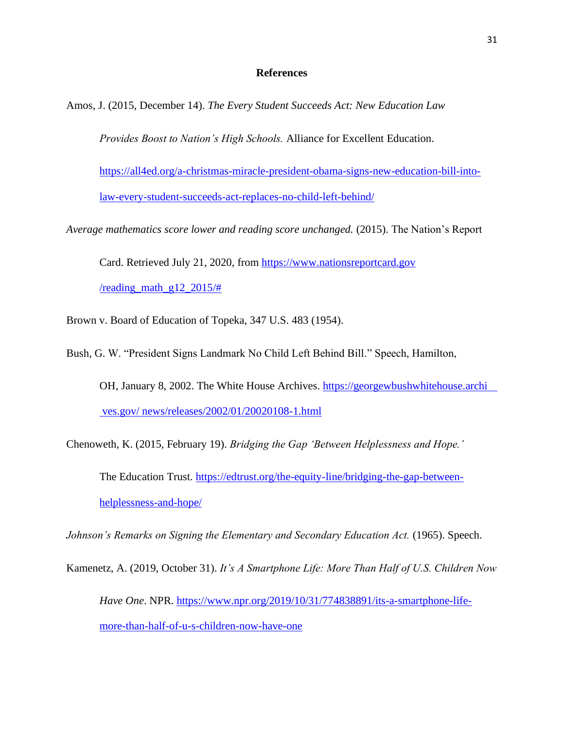#### **References**

Amos, J. (2015, December 14). *The Every Student Succeeds Act: New Education Law* 

*Provides Boost to Nation's High Schools.* Alliance for Excellent Education.

[https://all4ed.org/a-christmas-miracle-president-obama-signs-new-education-bill-into](https://all4ed.org/a-christmas-miracle-president-obama-signs-new-education-bill-into-law-every-student-succeeds-act-replaces-no-child-left-behind/)[law-every-student-succeeds-act-replaces-no-child-left-behind/](https://all4ed.org/a-christmas-miracle-president-obama-signs-new-education-bill-into-law-every-student-succeeds-act-replaces-no-child-left-behind/)

*Average mathematics score lower and reading score unchanged.* (2015). The Nation's Report

Card. Retrieved July 21, 2020, from https://www.nationsreportcard.gov /reading math  $g12$  2015/#

Brown v. Board of Education of Topeka, 347 U.S. 483 (1954).

Bush, G. W. "President Signs Landmark No Child Left Behind Bill." Speech, Hamilton,

OH, January 8, 2002. The White House Archives. https://georgewbushwhitehouse.archi ves.gov/ news/releases/2002/01/20020108-1.html

Chenoweth, K. (2015, February 19). *Bridging the Gap 'Between Helplessness and Hope.'* The Education Trust. [https://edtrust.org/the-equity-line/bridging-the-gap-between](https://edtrust.org/the-equity-line/bridging-the-gap-between-helplessness-and-hope/)[helplessness-and-hope/](https://edtrust.org/the-equity-line/bridging-the-gap-between-helplessness-and-hope/)

Johnson's Remarks on Signing the Elementary and Secondary Education Act. (1965). Speech.

Kamenetz, A. (2019, October 31). *It's A Smartphone Life: More Than Half of U.S. Children Now* 

*Have One*. NPR. [https://www.npr.org/2019/10/31/774838891/its-a-smartphone-life](https://www.npr.org/2019/10/31/774838891/its-a-smartphone-life-more-than-half-of-u-s-children-now-have-one)[more-than-half-of-u-s-children-now-have-one](https://www.npr.org/2019/10/31/774838891/its-a-smartphone-life-more-than-half-of-u-s-children-now-have-one)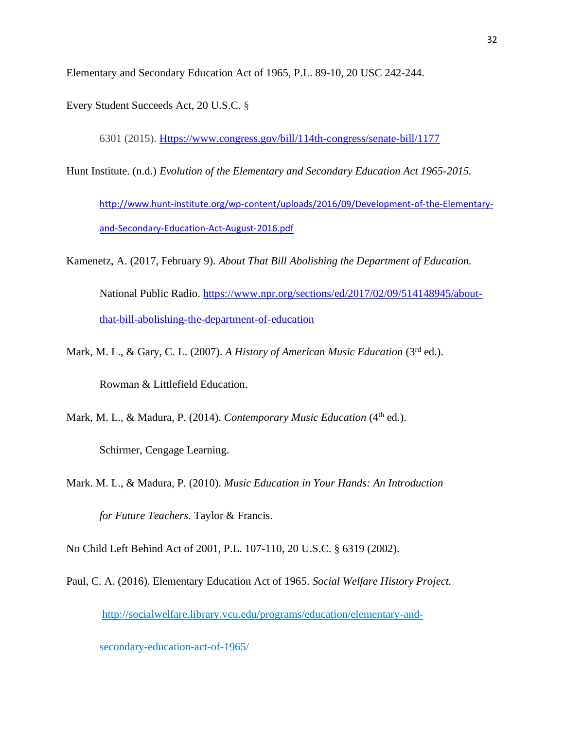Elementary and Secondary Education Act of 1965, P.L. 89-10, 20 USC 242-244.

Every Student Succeeds Act, 20 U.S.C. §

6301 (2015). [Https://www.congress.gov/bill/114th-congress/senate-bill/1177](https://www.congress.gov/bill/114th-congress/senate-bill/1177)

Hunt Institute. (n.d.) *Evolution of the Elementary and Secondary Education Act 1965-2015.*

[http://www.hunt-institute.org/wp-content/uploads/2016/09/Development-of-the-Elementary](http://www.hunt-institute.org/wp-content/uploads/2016/09/Development-of-the-Elementary-and-Secondary-Education-Act-August-2016.pdf)[and-Secondary-Education-Act-August-2016.pdf](http://www.hunt-institute.org/wp-content/uploads/2016/09/Development-of-the-Elementary-and-Secondary-Education-Act-August-2016.pdf)

- Kamenetz, A. (2017, February 9). *About That Bill Abolishing the Department of Education.*  National Public Radio. [https://www.npr.org/sections/ed/2017/02/09/514148945/about](https://www.npr.org/sections/ed/2017/02/09/514148945/about-that-bill-abolishing-the-department-of-education)[that-bill-abolishing-the-department-of-education](https://www.npr.org/sections/ed/2017/02/09/514148945/about-that-bill-abolishing-the-department-of-education)
- Mark, M. L., & Gary, C. L. (2007). *A History of American Music Education* (3rd ed.).

Rowman & Littlefield Education.

Mark, M. L., & Madura, P. (2014). *Contemporary Music Education* (4<sup>th</sup> ed.).

Schirmer, Cengage Learning.

Mark. M. L., & Madura, P. (2010). *Music Education in Your Hands: An Introduction for Future Teachers.* Taylor & Francis.

No Child Left Behind Act of 2001, P.L. 107-110, 20 U.S.C. § 6319 (2002).

Paul, C. A. (2016). Elementary Education Act of 1965. *Social Welfare History Project.*  <http://socialwelfare.library.vcu.edu/programs/education/elementary-and->

secondary-education-act-of-1965/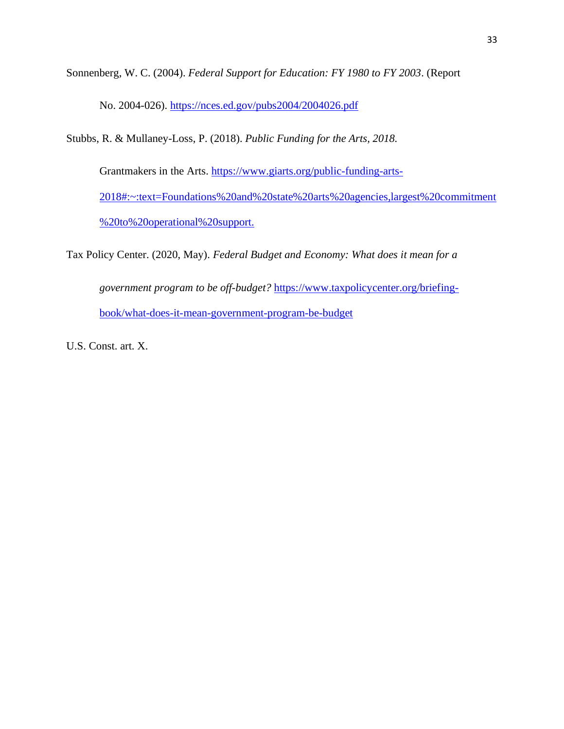Sonnenberg, W. C. (2004). *Federal Support for Education: FY 1980 to FY 2003*. (Report

No. 2004-026). <https://nces.ed.gov/pubs2004/2004026.pdf>

Stubbs, R. & Mullaney-Loss, P. (2018). *Public Funding for the Arts, 2018.* 

Grantmakers in the Arts. [https://www.giarts.org/public-funding-arts-](https://www.giarts.org/public-funding-arts-2018#:~:text=Foundations%20and%20state%20arts%20agencies,largest%20commitment%20to%20operational%20support.)[2018#:~:text=Foundations%20and%20state%20arts%20agencies,largest%20commitment](https://www.giarts.org/public-funding-arts-2018#:~:text=Foundations%20and%20state%20arts%20agencies,largest%20commitment%20to%20operational%20support.) [%20to%20operational%20support.](https://www.giarts.org/public-funding-arts-2018#:~:text=Foundations%20and%20state%20arts%20agencies,largest%20commitment%20to%20operational%20support.)

Tax Policy Center. (2020, May). *Federal Budget and Economy: What does it mean for a government program to be off-budget?* [https://www.taxpolicycenter.org/briefing](https://www.taxpolicycenter.org/briefing-book/what-does-it-mean-government-program-be-budget)[book/what-does-it-mean-government-program-be-budget](https://www.taxpolicycenter.org/briefing-book/what-does-it-mean-government-program-be-budget)

U.S. Const. art. X.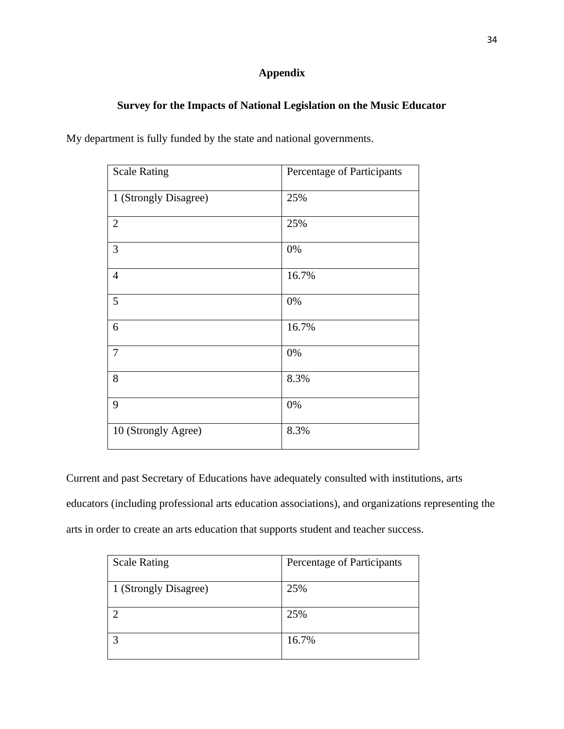# **Appendix**

## **Survey for the Impacts of National Legislation on the Music Educator**

|  |  | My department is fully funded by the state and national governments. |  |
|--|--|----------------------------------------------------------------------|--|
|--|--|----------------------------------------------------------------------|--|

| <b>Scale Rating</b>   | Percentage of Participants |
|-----------------------|----------------------------|
| 1 (Strongly Disagree) | 25%                        |
| $\mathbf{2}$          | 25%                        |
| 3                     | 0%                         |
| $\overline{4}$        | 16.7%                      |
| 5                     | 0%                         |
| 6                     | 16.7%                      |
| $\tau$                | 0%                         |
| $8\,$                 | 8.3%                       |
| 9                     | 0%                         |
| 10 (Strongly Agree)   | 8.3%                       |

Current and past Secretary of Educations have adequately consulted with institutions, arts educators (including professional arts education associations), and organizations representing the arts in order to create an arts education that supports student and teacher success.

| <b>Scale Rating</b>   | Percentage of Participants |
|-----------------------|----------------------------|
| 1 (Strongly Disagree) | 25%                        |
|                       | 25%                        |
| ◠                     | 16.7%                      |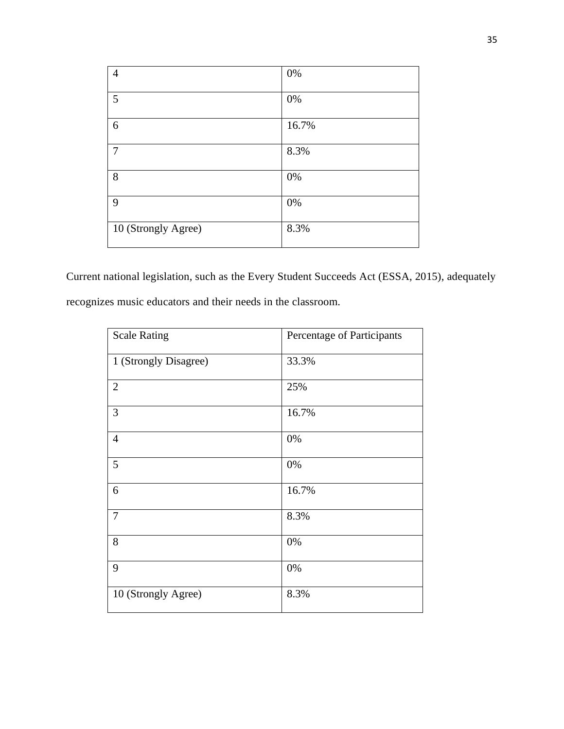| 4                   | $0\%$ |
|---------------------|-------|
| 5                   | $0\%$ |
| 6                   | 16.7% |
| 7                   | 8.3%  |
| 8                   | $0\%$ |
| 9                   | $0\%$ |
| 10 (Strongly Agree) | 8.3%  |

Current national legislation, such as the Every Student Succeeds Act (ESSA, 2015), adequately recognizes music educators and their needs in the classroom.

| <b>Scale Rating</b>   | Percentage of Participants |
|-----------------------|----------------------------|
| 1 (Strongly Disagree) | 33.3%                      |
| $\overline{2}$        | 25%                        |
| 3                     | 16.7%                      |
| $\overline{4}$        | 0%                         |
| 5                     | 0%                         |
| 6                     | 16.7%                      |
| $\tau$                | 8.3%                       |
| 8                     | 0%                         |
| 9                     | 0%                         |
| 10 (Strongly Agree)   | 8.3%                       |
|                       |                            |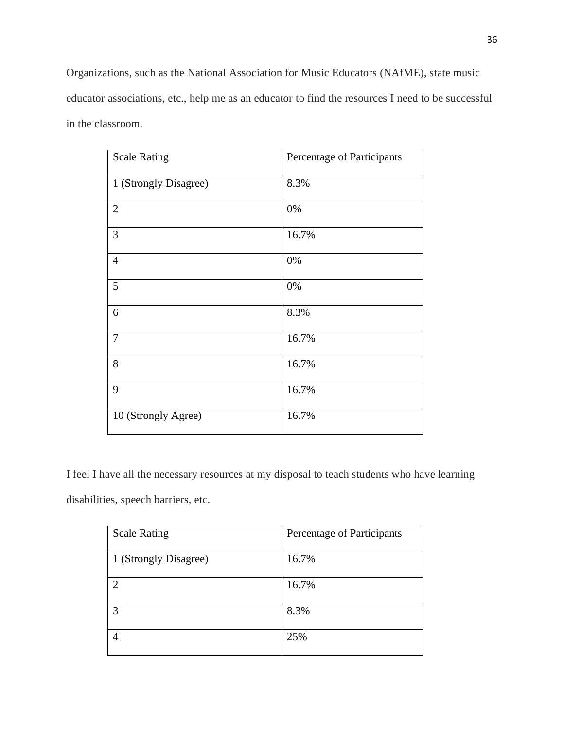Organizations, such as the National Association for Music Educators (NAfME), state music educator associations, etc., help me as an educator to find the resources I need to be successful in the classroom.

| <b>Scale Rating</b>   | Percentage of Participants |
|-----------------------|----------------------------|
| 1 (Strongly Disagree) | 8.3%                       |
| $\mathbf{2}$          | 0%                         |
| 3                     | 16.7%                      |
| $\overline{4}$        | 0%                         |
| 5                     | 0%                         |
| 6                     | 8.3%                       |
| $\tau$                | 16.7%                      |
| 8                     | 16.7%                      |
| 9                     | 16.7%                      |
| 10 (Strongly Agree)   | 16.7%                      |

I feel I have all the necessary resources at my disposal to teach students who have learning disabilities, speech barriers, etc.

| <b>Scale Rating</b>         | Percentage of Participants |
|-----------------------------|----------------------------|
| 1 (Strongly Disagree)       | 16.7%                      |
| $\mathcal{D}_{\mathcal{A}}$ | 16.7%                      |
| 3                           | 8.3%                       |
|                             | 25%                        |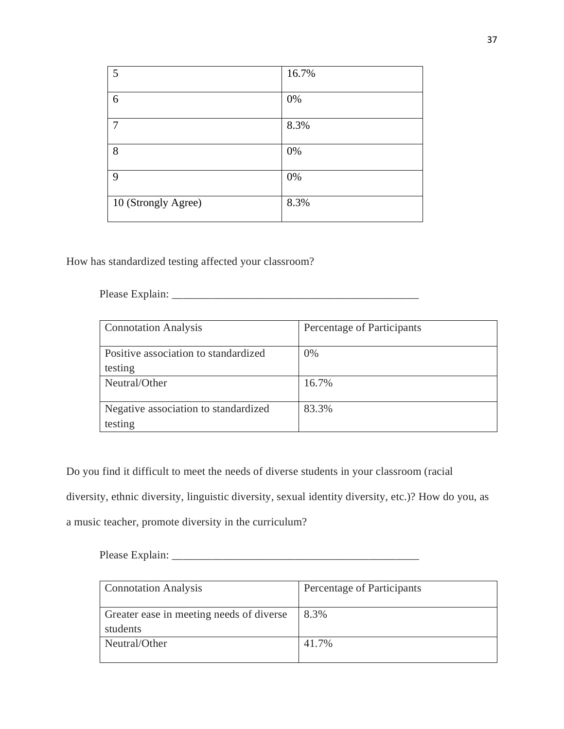| 5                   | 16.7% |
|---------------------|-------|
| 6                   | 0%    |
| 7                   | 8.3%  |
| 8                   | 0%    |
| 9                   | 0%    |
| 10 (Strongly Agree) | 8.3%  |

How has standardized testing affected your classroom?

Please Explain:

| <b>Connotation Analysis</b>          | Percentage of Participants |
|--------------------------------------|----------------------------|
| Positive association to standardized | 0%                         |
| testing                              |                            |
| Neutral/Other                        | 16.7%                      |
|                                      |                            |
| Negative association to standardized | 83.3%                      |
| testing                              |                            |

Do you find it difficult to meet the needs of diverse students in your classroom (racial diversity, ethnic diversity, linguistic diversity, sexual identity diversity, etc.)? How do you, as a music teacher, promote diversity in the curriculum?

| <b>Connotation Analysis</b>                          | Percentage of Participants |
|------------------------------------------------------|----------------------------|
| Greater ease in meeting needs of diverse<br>students | 8.3%                       |
| Neutral/Other                                        | 41.7%                      |

Please Explain: \_\_\_\_\_\_\_\_\_\_\_\_\_\_\_\_\_\_\_\_\_\_\_\_\_\_\_\_\_\_\_\_\_\_\_\_\_\_\_\_\_\_\_\_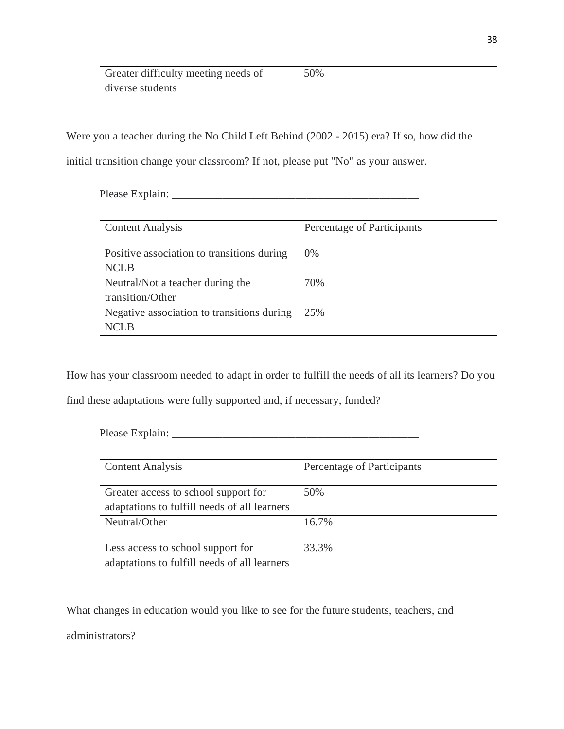| Greater difficulty meeting needs of | 50% |
|-------------------------------------|-----|
| diverse students                    |     |

Were you a teacher during the No Child Left Behind (2002 - 2015) era? If so, how did the

initial transition change your classroom? If not, please put "No" as your answer.

Please Explain: \_\_\_\_\_\_\_\_\_\_\_\_\_\_\_\_\_\_\_\_\_\_\_\_\_\_\_\_\_\_\_\_\_\_\_\_\_\_\_\_\_\_\_\_

| <b>Content Analysis</b>                                   | Percentage of Participants |
|-----------------------------------------------------------|----------------------------|
| Positive association to transitions during<br><b>NCLB</b> | 0%                         |
| Neutral/Not a teacher during the<br>transition/Other      | 70%                        |
| Negative association to transitions during<br>NCL B       | 25%                        |

How has your classroom needed to adapt in order to fulfill the needs of all its learners? Do you find these adaptations were fully supported and, if necessary, funded?

Please Explain: \_\_\_\_\_\_\_\_\_\_\_\_\_\_\_\_\_\_\_\_\_\_\_\_\_\_\_\_\_\_\_\_\_\_\_\_\_\_\_\_\_\_\_\_

| <b>Content Analysis</b>                      | Percentage of Participants |
|----------------------------------------------|----------------------------|
|                                              |                            |
| Greater access to school support for         | 50%                        |
| adaptations to fulfill needs of all learners |                            |
| Neutral/Other                                | 16.7%                      |
|                                              |                            |
| Less access to school support for            | 33.3%                      |
| adaptations to fulfill needs of all learners |                            |

What changes in education would you like to see for the future students, teachers, and administrators?